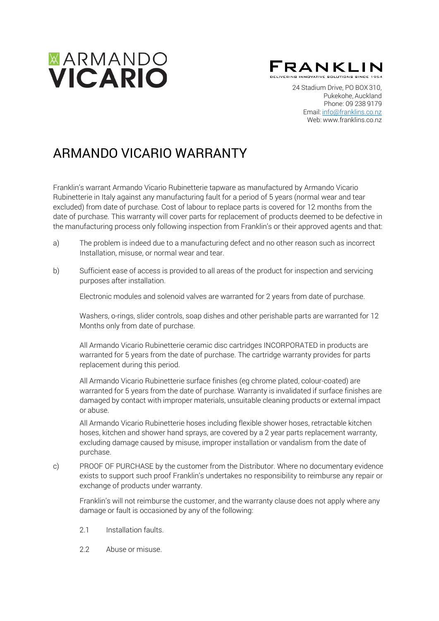

FRANKLIN

24 Stadium Drive, PO BOX 310, Pukekohe, Auckland Phone: 09 238 9179 Email: [info@franklins.co.nz](mailto:info@franklins.co.nz) Web: [www.franklins.co.nz](http://www.franklins.co.nz/)

# ARMANDO VICARIO WARRANTY

Franklin's warrant Armando Vicario Rubinetterie tapware as manufactured by Armando Vicario Rubinetterie in Italy against any manufacturing fault for a period of 5 years (normal wear and tear excluded) from date of purchase. Cost of labour to replace parts is covered for 12 months from the date of purchase. This warranty will cover parts for replacement of products deemed to be defective in the manufacturing process only following inspection from Franklin's or their approved agents and that:

- a) The problem is indeed due to a manufacturing defect and no other reason such as incorrect Installation, misuse, or normal wear and tear.
- b) Sufficient ease of access is provided to all areas of the product for inspection and servicing purposes after installation.

Electronic modules and solenoid valves are warranted for 2 years from date of purchase.

Washers, o-rings, slider controls, soap dishes and other perishable parts are warranted for 12 Months only from date of purchase.

All Armando Vicario Rubinetterie ceramic disc cartridges INCORPORATED in products are warranted for 5 years from the date of purchase. The cartridge warranty provides for parts replacement during this period.

All Armando Vicario Rubinetterie surface finishes (eg chrome plated, colour-coated) are warranted for 5 years from the date of purchase. Warranty is invalidated if surface finishes are damaged by contact with improper materials, unsuitable cleaning products or external impact or abuse.

All Armando Vicario Rubinetterie hoses including flexible shower hoses, retractable kitchen hoses, kitchen and shower hand sprays, are covered by a 2 year parts replacement warranty, excluding damage caused by misuse, improper installation or vandalism from the date of purchase.

c) PROOF OF PURCHASE by the customer from the Distributor. Where no documentary evidence exists to support such proof Franklin's undertakes no responsibility to reimburse any repair or exchange of products under warranty.

Franklin's will not reimburse the customer, and the warranty clause does not apply where any damage or fault is occasioned by any of the following:

- 2.1 Installation faults
- 2.2 Abuse or misuse.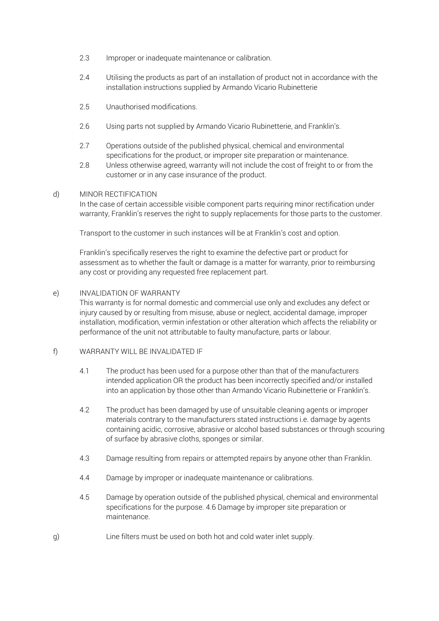- 2.3 Improper or inadequate maintenance or calibration.
- 2.4 Utilising the products as part of an installation of product not in accordance with the installation instructions supplied by Armando Vicario Rubinetterie
- 2.5 Unauthorised modifications.
- 2.6 Using parts not supplied by Armando Vicario Rubinetterie, and Franklin's.
- 2.7 Operations outside of the published physical, chemical and environmental specifications for the product, or improper site preparation or maintenance.
- Unless otherwise agreed, warranty will not include the cost of freight to or from the customer or in any case insurance of the product. 2.8

#### d) MINOR RECTIFICATION

In the case of certain accessible visible component parts requiring minor rectification under warranty, Franklin's reserves the right to supply replacements for those parts to the customer.

Transport to the customer in such instances will be at Franklin's cost and option.

Franklin's specifically reserves the right to examine the defective part or product for assessment as to whether the fault or damage is a matter for warranty, prior to reimbursing any cost or providing any requested free replacement part.

#### e) INVALIDATION OF WARRANTY

This warranty is for normal domestic and commercial use only and excludes any defect or injury caused by or resulting from misuse, abuse or neglect, accidental damage, improper installation, modification, vermin infestation or other alteration which affects the reliability or performance of the unit not attributable to faulty manufacture, parts or labour.

### f) WARRANTY WILL BE INVALIDATED IF

- 4.1 The product has been used for a purpose other than that of the manufacturers intended application OR the product has been incorrectly specified and/or installed into an application by those other than Armando Vicario Rubinetterie or Franklin's.
- 4.2 The product has been damaged by use of unsuitable cleaning agents or improper materials contrary to the manufacturers stated instructions i.e. damage by agents containing acidic, corrosive, abrasive or alcohol based substances or through scouring of surface by abrasive cloths, sponges or similar.
- 4.3 Damage resulting from repairs or attempted repairs by anyone other than Franklin.
- 4.4 Damage by improper or inadequate maintenance or calibrations.
- 4.5 Damage by operation outside of the published physical, chemical and environmental specifications for the purpose. 4.6 Damage by improper site preparation or maintenance.
- g) Line filters must be used on both hot and cold water inlet supply.